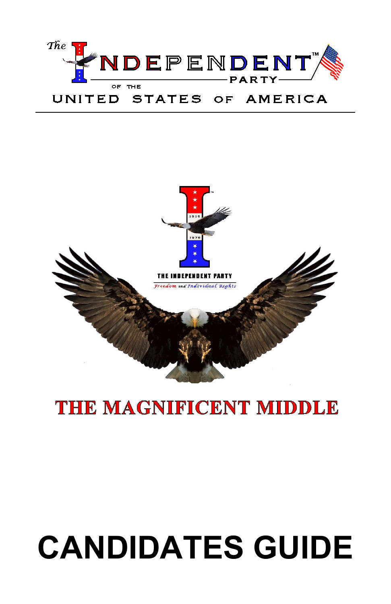# The VDEPENDENT UNITED STATES OF AMERICA



# THE MAGNIFICENT MIDDLE

# CANDIDATES GUIDE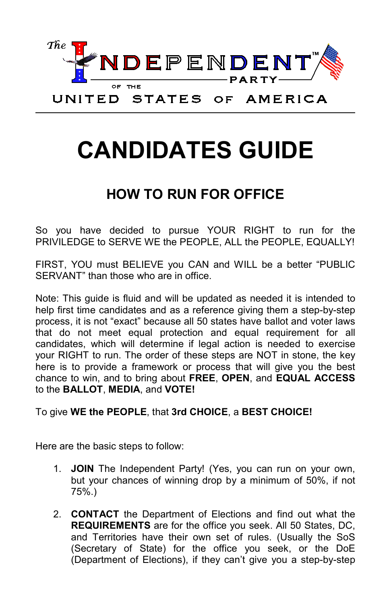

# CANDIDATES GUIDE

#### HOW TO RUN FOR OFFICE

So you have decided to pursue YOUR RIGHT to run for the PRIVILEDGE to SERVE WE the PEOPLE, ALL the PEOPLE, EQUALLY!

FIRST, YOU must BELIEVE you CAN and WILL be a better "PUBLIC SERVANT" than those who are in office.

Note: This guide is fluid and will be updated as needed it is intended to help first time candidates and as a reference giving them a step-by-step process, it is not "exact" because all 50 states have ballot and voter laws that do not meet equal protection and equal requirement for all candidates, which will determine if legal action is needed to exercise your RIGHT to run. The order of these steps are NOT in stone, the key here is to provide a framework or process that will give you the best chance to win, and to bring about FREE, OPEN, and EQUAL ACCESS to the BALLOT, MEDIA, and VOTE!

#### To give WE the PEOPLE, that 3rd CHOICE, a BEST CHOICE!

Here are the basic steps to follow:

- 1. JOIN The Independent Party! (Yes, you can run on your own, but your chances of winning drop by a minimum of 50%, if not 75%.)
- 2. CONTACT the Department of Elections and find out what the REQUIREMENTS are for the office you seek. All 50 States, DC, and Territories have their own set of rules. (Usually the SoS (Secretary of State) for the office you seek, or the DoE (Department of Elections), if they can't give you a step-by-step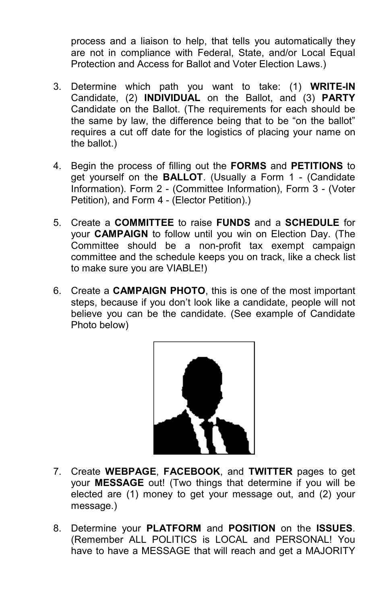process and a liaison to help, that tells you automatically they are not in compliance with Federal, State, and/or Local Equal Protection and Access for Ballot and Voter Election Laws.)

- 3. Determine which path you want to take: (1) WRITE-IN Candidate, (2) INDIVIDUAL on the Ballot, and (3) PARTY Candidate on the Ballot. (The requirements for each should be the same by law, the difference being that to be "on the ballot" requires a cut off date for the logistics of placing your name on the ballot.)
- 4. Begin the process of filling out the FORMS and PETITIONS to get yourself on the BALLOT. (Usually a Form 1 - (Candidate Information). Form 2 - (Committee Information), Form 3 - (Voter Petition), and Form 4 - (Elector Petition).)
- 5. Create a COMMITTEE to raise FUNDS and a SCHEDULE for your CAMPAIGN to follow until you win on Election Day. (The Committee should be a non-profit tax exempt campaign committee and the schedule keeps you on track, like a check list to make sure you are VIABLE!)
- 6. Create a CAMPAIGN PHOTO, this is one of the most important steps, because if you don't look like a candidate, people will not believe you can be the candidate. (See example of Candidate Photo below)



- 7. Create WEBPAGE, FACEBOOK, and TWITTER pages to get your MESSAGE out! (Two things that determine if you will be elected are (1) money to get your message out, and (2) your message.)
- 8. Determine your PLATFORM and POSITION on the ISSUES. (Remember ALL POLITICS is LOCAL and PERSONAL! You have to have a MESSAGE that will reach and get a MAJORITY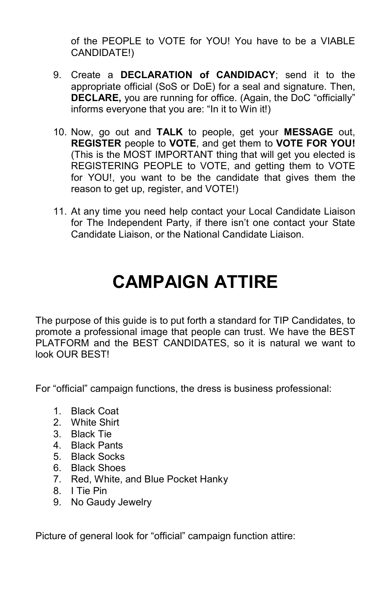of the PEOPLE to VOTE for YOU! You have to be a VIABLE CANDIDATE!)

- 9. Create a DECLARATION of CANDIDACY; send it to the appropriate official (SoS or DoE) for a seal and signature. Then, DECLARE, you are running for office. (Again, the DoC "officially" informs everyone that you are: "In it to Win it!)
- 10. Now, go out and TALK to people, get your MESSAGE out, REGISTER people to VOTE, and get them to VOTE FOR YOU! (This is the MOST IMPORTANT thing that will get you elected is REGISTERING PEOPLE to VOTE, and getting them to VOTE for YOU!, you want to be the candidate that gives them the reason to get up, register, and VOTE!)
- 11. At any time you need help contact your Local Candidate Liaison for The Independent Party, if there isn't one contact your State Candidate Liaison, or the National Candidate Liaison.

### CAMPAIGN ATTIRE

The purpose of this guide is to put forth a standard for TIP Candidates, to promote a professional image that people can trust. We have the BEST PLATFORM and the BEST CANDIDATES, so it is natural we want to look OUR BEST!

For "official" campaign functions, the dress is business professional:

- 1. Black Coat
- 2. White Shirt
- 3. Black Tie
- 4. Black Pants
- 5. Black Socks
- 6. Black Shoes
- 7. Red, White, and Blue Pocket Hanky
- 8. I Tie Pin
- 9. No Gaudy Jewelry

Picture of general look for "official" campaign function attire: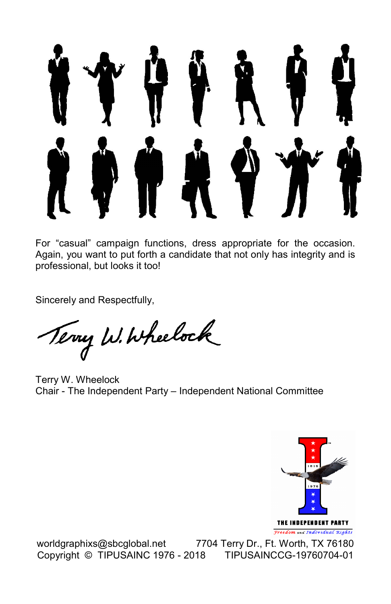

For "casual" campaign functions, dress appropriate for the occasion. Again, you want to put forth a candidate that not only has integrity and is professional, but looks it too!

Sincerely and Respectfully,

Terry W. Wheelock

Terry W. Wheelock Chair - The Independent Party – Independent National Committee



worldgraphixs@sbcglobal.net 7704 Terry Dr., Ft. Worth, TX 76180 Copyright © TIPUSAINC 1976 - 2018 TIPUSAINCCG-19760704-01